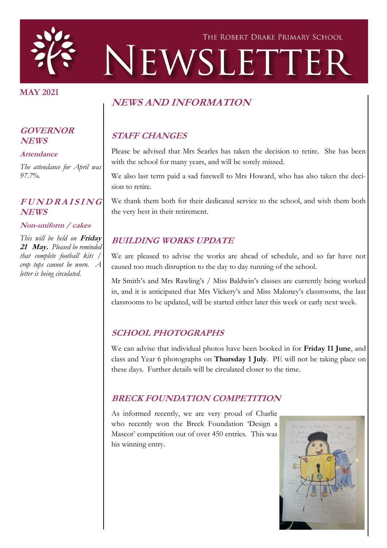

#### **MAY 2021**

# **NEWS AND INFORMATION**

# **STAFF CHANGES**

Please be advised that Mrs Searles has taken the decision to retire. She has been with the school for many years, and will be sorely missed.

We also last term paid a sad farewell to Mrs Howard, who has also taken the decision to retire.

We thank them both for their dedicated service to the school, and wish them both the very best in their retirement.

### **BUILDING WORKS UPDATE**

We are pleased to advise the works are ahead of schedule, and so far have not caused too much disruption to the day to day running of the school.

Mr Smith's and Mrs Rawling's / Miss Baldwin's classes are currently being worked in, and it is anticipated that Mrs Vickery's and Miss Maloney's classrooms, the last classrooms to be updated, will be started either later this week or early next week.

# **SCHOOL PHOTOGRAPHS**

We can advise that individual photos have been booked in for **Friday 11 June**, and class and Year 6 photographs on **Thursday 1 July**. PE will not be taking place on these days. Further details will be circulated closer to the time.

# **BRECK FOUNDATION COMPETITION**

As informed recently, we are very proud of Charlie who recently won the Breck Foundation 'Design a Mascot' competition out of over 450 entries. This was his winning entry.



#### **GOVERNOR NEWS**

#### **Attendance**

*The attendance for April was 97.7%.*

# **<sup>F</sup> <sup>U</sup> <sup>N</sup> <sup>D</sup> <sup>R</sup> <sup>A</sup> <sup>I</sup> <sup>S</sup> <sup>I</sup> <sup>N</sup> <sup>G</sup> NEWS**

#### **Non-uniform / cakes**

*This will be held on* **Friday 21 May.** *Pleased be reminded that complete football kits / crop tops cannot be worn. A letter is being circulated.*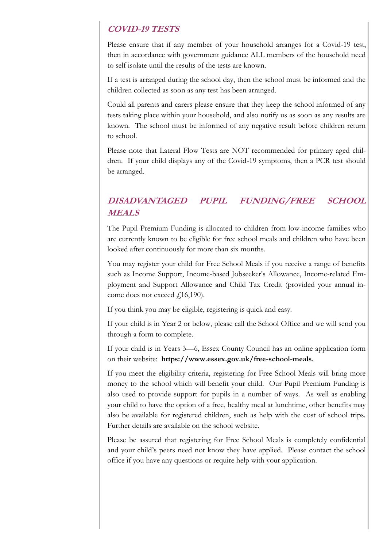## **COVID-19 TESTS**

Please ensure that if any member of your household arranges for a Covid-19 test, then in accordance with government guidance ALL members of the household need to self isolate until the results of the tests are known.

If a test is arranged during the school day, then the school must be informed and the children collected as soon as any test has been arranged.

Could all parents and carers please ensure that they keep the school informed of any tests taking place within your household, and also notify us as soon as any results are known. The school must be informed of any negative result before children return to school.

Please note that Lateral Flow Tests are NOT recommended for primary aged children. If your child displays any of the Covid-19 symptoms, then a PCR test should be arranged.

# **DISADVANTAGED PUPIL FUNDING/FREE SCHOOL MEALS**

The Pupil Premium Funding is allocated to children from low-income families who are currently known to be eligible for free school meals and children who have been looked after continuously for more than six months.

You may register your child for Free School Meals if you receive a range of benefits such as Income Support, Income-based Jobseeker's Allowance, Income-related Employment and Support Allowance and Child Tax Credit (provided your annual income does not exceed  $f(16,190)$ .

If you think you may be eligible, registering is quick and easy.

If your child is in Year 2 or below, please call the School Office and we will send you through a form to complete.

If your child is in Years 3—6, Essex County Council has an online application form on their website: **https://www.essex.gov.uk/free-school-meals.**

If you meet the eligibility criteria, registering for Free School Meals will bring more money to the school which will benefit your child. Our Pupil Premium Funding is also used to provide support for pupils in a number of ways. As well as enabling your child to have the option of a free, healthy meal at lunchtime, other benefits may also be available for registered children, such as help with the cost of school trips. Further details are available on the school website.

Please be assured that registering for Free School Meals is completely confidential and your child's peers need not know they have applied. Please contact the school office if you have any questions or require help with your application.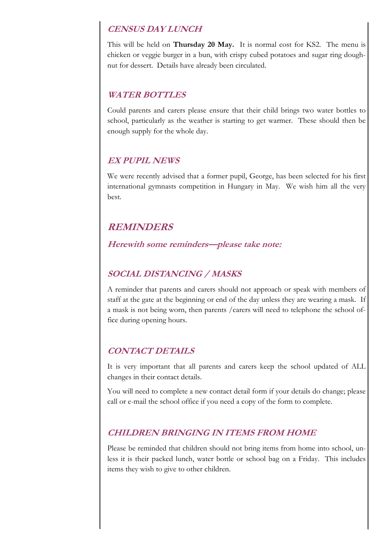### **CENSUS DAY LUNCH**

This will be held on **Thursday 20 May.** It is normal cost for KS2. The menu is chicken or veggie burger in a bun, with crispy cubed potatoes and sugar ring doughnut for dessert. Details have already been circulated.

#### **WATER BOTTLES**

Could parents and carers please ensure that their child brings two water bottles to school, particularly as the weather is starting to get warmer. These should then be enough supply for the whole day.

#### **EX PUPIL NEWS**

We were recently advised that a former pupil, George, has been selected for his first international gymnasts competition in Hungary in May. We wish him all the very best.

# **REMINDERS**

**Herewith some reminders—please take note:**

## **SOCIAL DISTANCING / MASKS**

A reminder that parents and carers should not approach or speak with members of staff at the gate at the beginning or end of the day unless they are wearing a mask. If a mask is not being worn, then parents /carers will need to telephone the school office during opening hours.

### **CONTACT DETAILS**

It is very important that all parents and carers keep the school updated of ALL changes in their contact details.

You will need to complete a new contact detail form if your details do change; please call or e-mail the school office if you need a copy of the form to complete.

### **CHILDREN BRINGING IN ITEMS FROM HOME**

Please be reminded that children should not bring items from home into school, unless it is their packed lunch, water bottle or school bag on a Friday. This includes items they wish to give to other children.